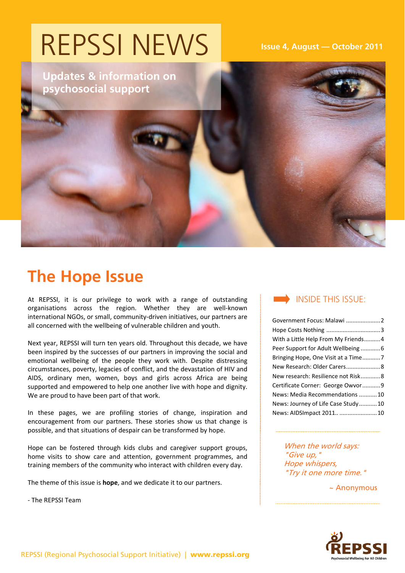## REPSSI NEWS

**Updates & information on psychosocial support** 

 **Issue 4, August — October 2011** 

## **The Hope Issue**

At REPSSI, it is our privilege to work with a range of outstanding organisations across the region. Whether they are well‐known international NGOs, or small, community‐driven initiatives, our partners are all concerned with the wellbeing of vulnerable children and youth.

Next year, REPSSI will turn ten years old. Throughout this decade, we have been inspired by the successes of our partners in improving the social and emotional wellbeing of the people they work with. Despite distressing circumstances, poverty, legacies of conflict, and the devastation of HIV and AIDS, ordinary men, women, boys and girls across Africa are being supported and empowered to help one another live with hope and dignity. We are proud to have been part of that work.

In these pages, we are profiling stories of change, inspiration and encouragement from our partners. These stories show us that change is possible, and that situations of despair can be transformed by hope.

Hope can be fostered through kids clubs and caregiver support groups, home visits to show care and attention, government programmes, and training members of the community who interact with children every day.

The theme of this issue is **hope**, and we dedicate it to our partners.

‐ The REPSSI Team



| Government Focus: Malawi 2          |  |
|-------------------------------------|--|
|                                     |  |
| With a Little Help From My Friends4 |  |
|                                     |  |
|                                     |  |
| New Research: Older Carers 8        |  |
| New research: Resilience not Risk8  |  |
| Certificate Corner: George Owvor9   |  |
| News: Media Recommendations 10      |  |
| News: Journey of Life Case Study10  |  |
| News: AIDSImpact 2011 10            |  |

When the world says: "Give up," Hope whispers, "Try it one more time."

~ Anonymous

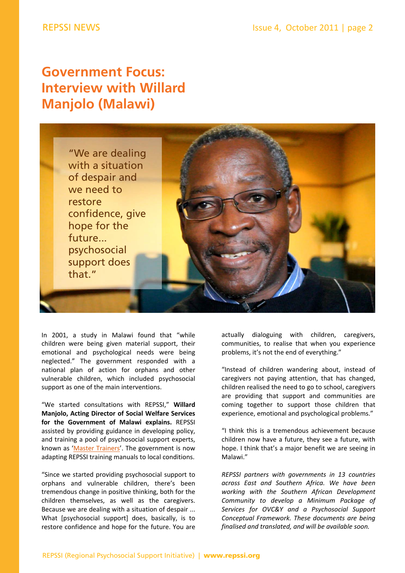## **Government Focus: Interview with Willard Manjolo (Malawi)**



In 2001, a study in Malawi found that "while children were being given material support, their emotional and psychological needs were being neglected." The government responded with a national plan of action for orphans and other vulnerable children, which included psychosocial support as one of the main interventions.

"We started consultations with REPSSI," **Willard Manjolo, Acting Director of Social Welfare Services for the Government of Malawi explains.** REPSSI assisted by providing guidance in developing policy, and training a pool of psychosocial support experts, known as 'Master [Trainers](http://www.repssi.org/?p=304&option=com_wordpress&Itemid=64)'. The government is now adapting REPSSI training manuals to local conditions.

"Since we started providing psychosocial support to orphans and vulnerable children, there's been tremendous change in positive thinking, both for the children themselves, as well as the caregivers. Because we are dealing with a situation of despair ... What [psychosocial support] does, basically, is to restore confidence and hope for the future. You are actually dialoguing with children, caregivers, communities, to realise that when you experience problems, it's not the end of everything."

"Instead of children wandering about, instead of caregivers not paying attention, that has changed, children realised the need to go to school, caregivers are providing that support and communities are coming together to support those children that experience, emotional and psychological problems."

"I think this is a tremendous achievement because children now have a future, they see a future, with hope. I think that's a major benefit we are seeing in Malawi."

*REPSSI partners with governments in 13 countries across East and Southern Africa. We have been working with the Southern African Development Community to develop a Minimum Package of Services for OVC&Y and a Psychosocial Support Conceptual Framework. These documents are being finalised and translated, and will be available soon.*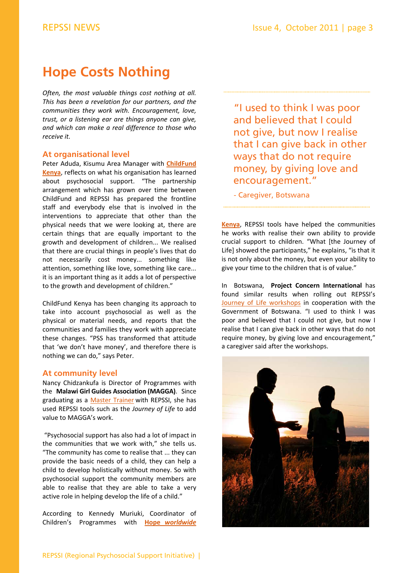## **Hope Costs Nothing**

*Often, the most valuable things cost nothing at all. This has been a revelation for our partners, and the communities they work with. Encouragement, love, trust, or a listening ear are things anyone can give, and which can make a real difference to those who receive it.* 

#### **At organisational level**

Peter Aduda, Kisumu Area Manager with **ChildFund Kenya**, reflects on what his [organisation](http://www.childfund.org/) has learned about psychosocial support. "The partnership arrangement which has grown over time between ChildFund and REPSSI has prepared the frontline staff and everybody else that is involved in the interventions to appreciate that other than the physical needs that we were looking at, there are certain things that are equally important to the growth and development of children... We realised that there are crucial things in people's lives that do not necessarily cost money... something like attention, something like love, something like care... it is an important thing as it adds a lot of perspective to the growth and development of children."

ChildFund Kenya has been changing its approach to take into account psychosocial as well as the physical or material needs, and reports that the communities and families they work with appreciate these changes. "PSS has transformed that attitude that 'we don't have money', and therefore there is nothing we can do," says Peter.

#### **At community level**

Nancy Chidzankufa is Director of Programmes with the **Malawi Girl Guides Association (MAGGA)**. Since graduating as a Master [Trainer](http://www.repssi.org/?p=304&option=com_wordpress&Itemid=64) with REPSSI, she has used REPSSI tools such as the *Journey of Life* to add value to MAGGA's work.

"Psychosocial support has also had a lot of impact in the communities that we work with," she tells us. "The community has come to realise that ... they can provide the basic needs of a child, they can help a child to develop holistically without money. So with psychosocial support the community members are able to realise that they are able to take a very active role in helping develop the life of a child."

According to Kennedy Muriuki, Coordinator of Children's Programmes with **Hope** *[worldwide](http://hopewwkenya.org/)*

"I used to think I was poor and believed that I could not give, but now I realise that I can give back in other ways that do not require money, by giving love and encouragement."

- Caregiver, Botswana

**[Kenya](http://hopewwkenya.org/)**, REPSSI tools have helped the communities he works with realise their own ability to provide crucial support to children. "What [the Journey of Life] showed the participants," he explains, "is that it is not only about the money, but even your ability to give your time to the children that is of value."

In Botswana, **Project Concern International** has found similar results when rolling out REPSSI's Journey of Life [workshops](http://www.repssi.org/?p=475&option=com_wordpress&Itemid=64) in cooperation with the Government of Botswana. "I used to think I was poor and believed that I could not give, but now I realise that I can give back in other ways that do not require money, by giving love and encouragement," a caregiver said after the workshops.

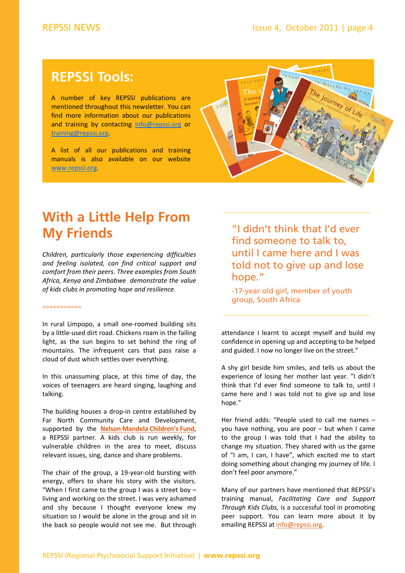## **REPSSI Tools:**

A number of key REPSSI publications are mentioned throughout this newsletter. You can find more information about our publications and training by contacting info@repssi.org or training@repssi.org.

A list of all our publications and training manuals is also available on our website www.repssi.org.



## **With a Little Help From My Friends**

*Children, particularly those experiencing difficulties and feeling isolated, can find critical support and comfort from their peers. Three examples from South Africa, Kenya and Zimbabwe demonstrate the value of kids clubs in promoting hope and resilience.*

#### ===========

In rural Limpopo, a small one‐roomed building sits by a little‐used dirt road. Chickens roam in the failing light, as the sun begins to set behind the ring of mountains. The infrequent cars that pass raise a cloud of dust which settles over everything.

In this unassuming place, at this time of day, the voices of teenagers are heard singing, laughing and talking.

The building houses a drop-in centre established by Far North Community Care and Development, supported by the **Nelson Mandela [Children's](http://www.nelsonmandelachildrensfund.com) Fund**, a REPSSI partner. A kids club is run weekly, for vulnerable children in the area to meet, discuss relevant issues, sing, dance and share problems.

The chair of the group, a 19‐year‐old bursting with energy, offers to share his story with the visitors. "When I first came to the group I was a street boy  $$ living and working on the street. I was very ashamed and shy because I thought everyone knew my situation so I would be alone in the group and sit in the back so people would not see me. But through

"I didn't think that I'd ever find someone to talk to, until I came here and I was told not to give up and lose hope."

-17-year old girl, member of youth group, South Africa

attendance I learnt to accept myself and build my confidence in opening up and accepting to be helped and guided. I now no longer live on the street."

A shy girl beside him smiles, and tells us about the experience of losing her mother last year. "I didn't think that I'd ever find someone to talk to, until I came here and I was told not to give up and lose hope."

Her friend adds: "People used to call me names – you have nothing, you are poor – but when I came to the group I was told that I had the ability to change my situation. They shared with us the game of "I am, I can, I have", which excited me to start doing something about changing my journey of life. I don't feel poor anymore."

Many of our partners have mentioned that REPSSI's training manual, *Facilitating Care and Support Through Kids Clubs,* is a successful tool in promoting peer support. You can learn more about it by emailing REPSSI at info@repssi.org.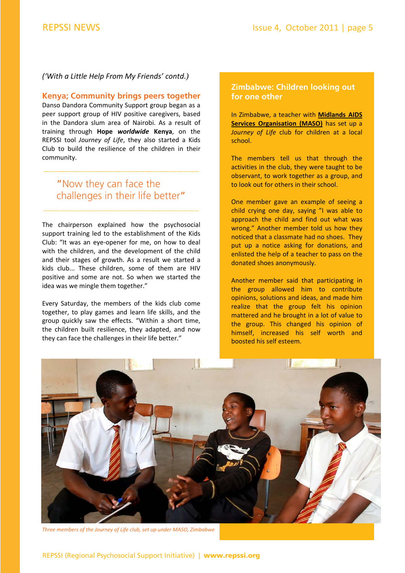#### *('With a Little Help From My Friends' contd.)*

#### **Kenya; Community brings peers together**

Danso Dandora Community Support group began as a peer support group of HIV positive caregivers, based in the Dandora slum area of Nairobi. As a result of training through **Hope** *worldwide* **Kenya**, on the REPSSI tool *Journey of Life*, they also started a Kids Club to build the resilience of the children in their community.

## "Now they can face the challenges in their life better"

The chairperson explained how the psychosocial support training led to the establishment of the Kids Club: "It was an eye‐opener for me, on how to deal with the children, and the development of the child and their stages of growth. As a result we started a kids club... These children, some of them are HIV positive and some are not. So when we started the idea was we mingle them together."

Every Saturday, the members of the kids club come together, to play games and learn life skills, and the group quickly saw the effects. "Within a short time, the children built resilience, they adapted, and now they can face the challenges in their life better."

#### **Zimbabwe: Children looking out for one other**

In Zimbabwe, a teacher with **Midlands AIDS Services [Organisation](http://www.maso.org.zw/) (MASO)** has set up a *Journey of Life* club for children at a local school.

The members tell us that through the activities in the club, they were taught to be observant, to work together as a group, and to look out for others in their school.

One member gave an example of seeing a child crying one day, saying "I was able to approach the child and find out what was wrong." Another member told us how they noticed that a classmate had no shoes. They put up a notice asking for donations, and enlisted the help of a teacher to pass on the donated shoes anonymously.

Another member said that participating in the group allowed him to contribute opinions, solutions and ideas, and made him realize that the group felt his opinion mattered and he brought in a lot of value to the group. This changed his opinion of himself, increased his self worth and boosted his self esteem.



*Three members of the Journey of Life club, set up under MASO, Zimbabwe*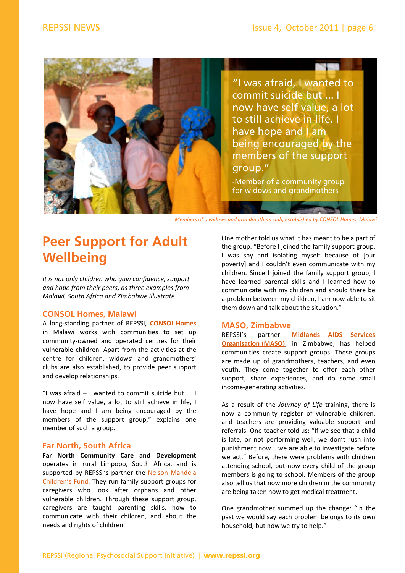

*Members of a widows and grandmothers club, established by CONSOL Homes, Malawi*

## **Peer Support for Adult Wellbeing**

*It is not only children who gain confidence, support and hope from their peers, as three examples from Malawi, South Africa and Zimbabwe illustrate.* 

#### **CONSOL Homes, Malawi**

A long‐standing partner of REPSSI, **[CONSOL](http://www.consolhomes.org/) Homes** in Malawi works with communities to set up community‐owned and operated centres for their vulnerable children. Apart from the activities at the centre for children, widows' and grandmothers' clubs are also established, to provide peer support and develop relationships.

"I was afraid – I wanted to commit suicide but ... I now have self value, a lot to still achieve in life, I have hope and I am being encouraged by the members of the support group," explains one member of such a group.

#### **Far North, South Africa**

**Far North Community Care and Development** operates in rural Limpopo, South Africa, and is [supported](http://www.nelsonmandelachildrensfund.com) by REPSSI's partner the Nelson Mandela Children's Fund. They run family support groups for caregivers who look after orphans and other vulnerable children. Through these support group, caregivers are taught parenting skills, how to communicate with their children, and about the needs and rights of children.

One mother told us what it has meant to be a part of the group. "Before I joined the family support group, I was shy and isolating myself because of [our poverty] and I couldn't even communicate with my children. Since I joined the family support group, I have learned parental skills and I learned how to communicate with my children and should there be a problem between my children, I am now able to sit them down and talk about the situation."

#### **MASO, Zimbabwe**

REPSSI's partner **Midlands AIDS Services [Organisation](http://www.maso.org.zw/) (MASO)**, in Zimbabwe, has helped communities create support groups. These groups are made up of grandmothers, teachers, and even youth. They come together to offer each other support, share experiences, and do some small income‐generating activities.

As a result of the *Journey of Life* training, there is now a community register of vulnerable children, and teachers are providing valuable support and referrals. One teacher told us: "If we see that a child is late, or not performing well, we don't rush into punishment now... we are able to investigate before we act." Before, there were problems with children attending school, but now every child of the group members is going to school. Members of the group also tell us that now more children in the community are being taken now to get medical treatment.

One grandmother summed up the change: "In the past we would say each problem belongs to its own household, but now we try to help."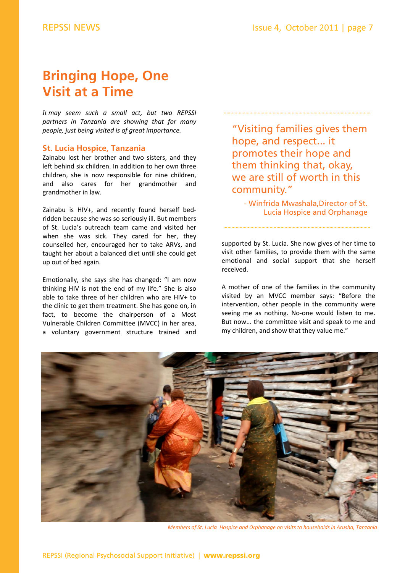## **Bringing Hope, One Visit at a Time**

*It may seem such a small act, but two REPSSI partners in Tanzania are showing that for many people, just being visited is of great importance.* 

#### **[St. Lucia Hospice,](http://www.stluciahospiceandorphanage.org/) Tanzania**

Zainabu lost her brother and two sisters, and they left behind six children. In addition to her own three children, she is now responsible for nine children, and also cares for her grandmother and grandmother in law.

Zainabu is HIV+, and recently found herself bed‐ ridden because she was so seriously ill. But members of St. Lucia's outreach team came and visited her when she was sick. They cared for her, they counselled her, encouraged her to take ARVs, and taught her about a balanced diet until she could get up out of bed again.

Emotionally, she says she has changed: "I am now thinking HIV is not the end of my life." She is also able to take three of her children who are HIV+ to the clinic to get them treatment. She has gone on, in fact, to become the chairperson of a Most Vulnerable Children Committee (MVCC) in her area, a voluntary government structure trained and

"Visiting families gives them hope, and respect... it promotes their hope and them thinking that, okay, we are still of worth in this community."

- Win[frida Mwashala,Director of St.](http://www.stluciahospiceandorphanage.org/)  Lucia Hospice and Orphanage

supported by St. Lucia. She now gives of her time to visit other families, to provide them with the same emotional and social support that she herself received.

A mother of one of the families in the community visited by an MVCC member says: "Before the intervention, other people in the community were seeing me as nothing. No-one would listen to me. But now... the committee visit and speak to me and my children, and show that they value me."



*Members of St. Lucia Hospice and Orphanage on visits to households in Arusha, Tanzania*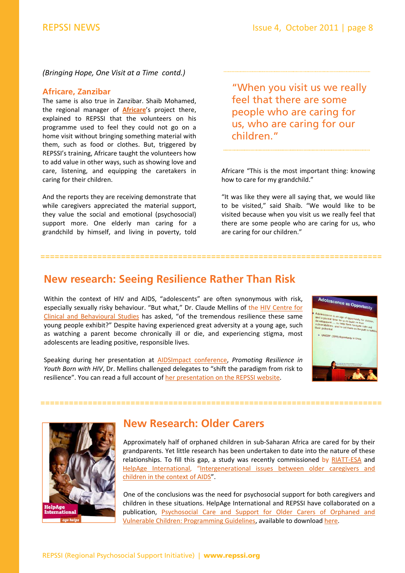#### *(Bringing Hope, One Visit at a Time contd.)*

#### **Africare, Zanzibar**

The same is also true in Zanzibar. Shaib Mohamed, the regional manager of **[Africare](http://www.africare.org/)**'s project there, explained to REPSSI that the volunteers on his programme used to feel they could not go on a home visit without bringing something material with them, such as food or clothes. But, triggered by REPSSI's training, Africare taught the volunteers how to add value in other ways, such as showing love and care, listening, and equipping the caretakers in caring for their children.

And the reports they are receiving demonstrate that while caregivers appreciated the material support, they value the social and emotional (psychosocial) support more. One elderly man caring for a grandchild by himself, and living in poverty, told

"When you visit us we really feel that there are some people who are caring for us, who are caring for our children."

Africare "This is the most important thing: knowing how to care for my grandchild."

"It was like they were all saying that, we would like to be visited," said Shaib. "We would like to be visited because when you visit us we really feel that there are some people who are caring for us, who are caring for our children."

## **New research: Seeing Resilience Rather Than Risk**

========================================================================

Within the context of HIV and AIDS, "adolescents" are often synonymous with risk, especially sexually risky behaviour. "But what," Dr. Claude Mellins of the HIV Centre for Clinical and Behavioural Studies has asked, "of the [tremendous](http://www.hivcenternyc.org/) resilience these same young people exhibit?" Despite having experienced great adversity at a young age, such as watching a parent become chronically ill or die, and experiencing stigma, most adolescents are leading positive, responsible lives.

Speaking during her presentation at [AIDSImpact](http://www.aidsimpact.com/2011/) conference, *Promoting Resilience in Youth Born with HIV*, Dr. Mellins challenged delegates to "shift the paradigm from risk to resilience". You can read a full account of her [presentation](http://www.repssi.org/?p=424&option=com_wordpress&Itemid=64) on the REPSSI website.





## **New Research: Older Carers**

========================================================================

Approximately half of orphaned children in sub‐Saharan Africa are cared for by their grandparents. Yet little research has been undertaken to date into the nature of these relationships. To fill this gap, a study was recently commissioned by [RIATT](RIATT%E2%80%90ESA)-ESA and HelpAge [International,](http://www.helpage.org/) ["Intergenerational](http://www.riatt-esa.org/resources/analysis-intergenerational-issues-between-older-caregivers-and-children-context-aids-revie) issues between older caregivers and children in the context of AIDS".

One of the conclusions was the need for psychosocial support for both caregivers and children in these situations. HelpAge International and REPSSI have collaborated on a publication, Psychosocial Care and Support for Older Carers of Orphaned and Vulnerable Children: Programming Guidelines, available to download [here.](http://www.repssi.org/?p=434&option=com_wordpress&Itemid=64)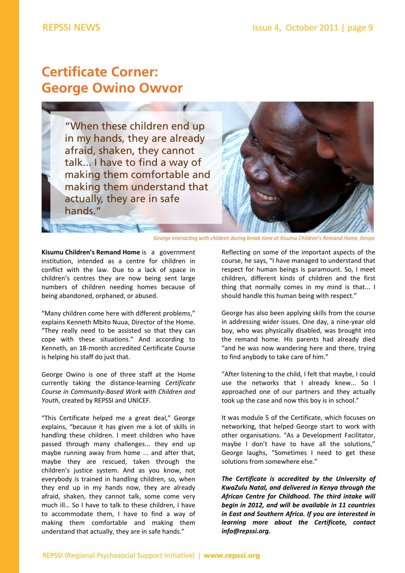## **Certificate Corner: George Owino Owvor**

"When these children end up in my hands, they are already afraid, shaken, they cannot talk... I have to find a way of making them comfortable and making them understand that actually, they are in safe hands."



*George interacting with children during break‐time at Kisumu Children's Remand Home, Kenya*

**Kisumu Children's Remand Home** is a government institution, intended as a centre for children in conflict with the law. Due to a lack of space in children's centres they are now being sent large numbers of children needing homes because of being abandoned, orphaned, or abused.

"Many children come here with different problems," explains Kenneth Mbito Nuua, Director of the Home. "They really need to be assisted so that they can cope with these situations." And according to Kenneth, an 18‐month accredited Certificate Course is helping his staff do just that.

George Owino is one of three staff at the Home currently taking the distance‐learning *Certificate Course in Community‐Based Work with Children and Youth*, created by REPSSI and UNICEF.

"This Certificate helped me a great deal," George explains, "because it has given me a lot of skills in handling these children. I meet children who have passed through many challenges... they end up maybe running away from home ... and after that, maybe they are rescued, taken through the children's justice system. And as you know, not everybody is trained in handling children, so, when they end up in my hands now, they are already afraid, shaken, they cannot talk, some come very much ill… So I have to talk to these children, I have to accommodate them, I have to find a way of making them comfortable and making them understand that actually, they are in safe hands."

Reflecting on some of the important aspects of the course, he says, "I have managed to understand that respect for human beings is paramount. So, I meet children, different kinds of children and the first thing that normally comes in my mind is that... I should handle this human being with respect."

George has also been applying skills from the course in addressing wider issues. One day, a nine‐year old boy, who was physically disabled, was brought into the remand home. His parents had already died "and he was now wandering here and there, trying to find anybody to take care of him."

"After listening to the child, I felt that maybe, I could use the networks that I already knew... So I approached one of our partners and they actually took up the case and now this boy is in school."

It was module 5 of the Certificate, which focuses on networking, that helped George start to work with other organisations. "As a Development Facilitator, maybe I don't have to have all the solutions," George laughs, "Sometimes I need to get these solutions from somewhere else."

*The Certificate is accredited by the University of KwaZulu Natal, and delivered in Kenya through the African Centre for Childhood. The third intake will begin in 2012, and will be available in 11 countries in East and Southern Africa. If you are interested in learning more about the Certificate, contact info@repssi.org.*